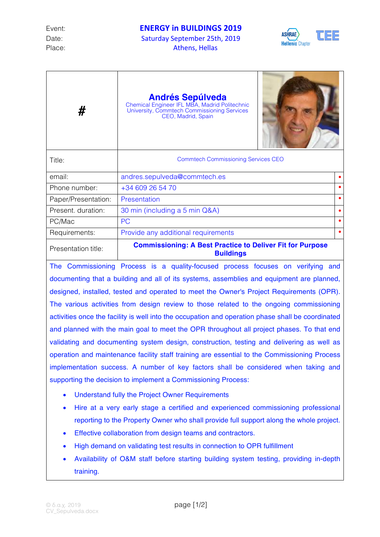

| #                   | <b>Andrés Sepúlveda</b><br>Chemical Engineer IFL MBA, Madrid Politechnic<br>University, Commtech Commissioning Services<br>CEO, Madrid, Spain |  |  |  |
|---------------------|-----------------------------------------------------------------------------------------------------------------------------------------------|--|--|--|
| Title:              | <b>Commtech Commissioning Services CEO</b>                                                                                                    |  |  |  |
| email:              | andres.sepulveda@commtech.es                                                                                                                  |  |  |  |
| Phone number:       | +34 609 26 54 70                                                                                                                              |  |  |  |
| Paper/Presentation: | Presentation                                                                                                                                  |  |  |  |
| Present. duration:  | 30 min (including a 5 min Q&A)                                                                                                                |  |  |  |
| PC/Mac              | <b>PC</b>                                                                                                                                     |  |  |  |
| Requirements:       | Provide any additional requirements                                                                                                           |  |  |  |
| Presentation title: | <b>Commissioning: A Best Practice to Deliver Fit for Purpose</b><br><b>Buildings</b>                                                          |  |  |  |

The Commissioning Process is a quality-focused process focuses on verifying and documenting that a building and all of its systems, assemblies and equipment are planned, designed, installed, tested and operated to meet the Owner's Project Requirements (OPR). The various activities from design review to those related to the ongoing commissioning activities once the facility is well into the occupation and operation phase shall be coordinated and planned with the main goal to meet the OPR throughout all project phases. To that end validating and documenting system design, construction, testing and delivering as well as operation and maintenance facility staff training are essential to the Commissioning Process implementation success. A number of key factors shall be considered when taking and supporting the decision to implement a Commissioning Process:

- Understand fully the Project Owner Requirements
- Hire at a very early stage a certified and experienced commissioning professional reporting to the Property Owner who shall provide full support along the whole project.
- Effective collaboration from design teams and contractors.
- High demand on validating test results in connection to OPR fulfillment
- Availability of O&M staff before starting building system testing, providing in-depth training.